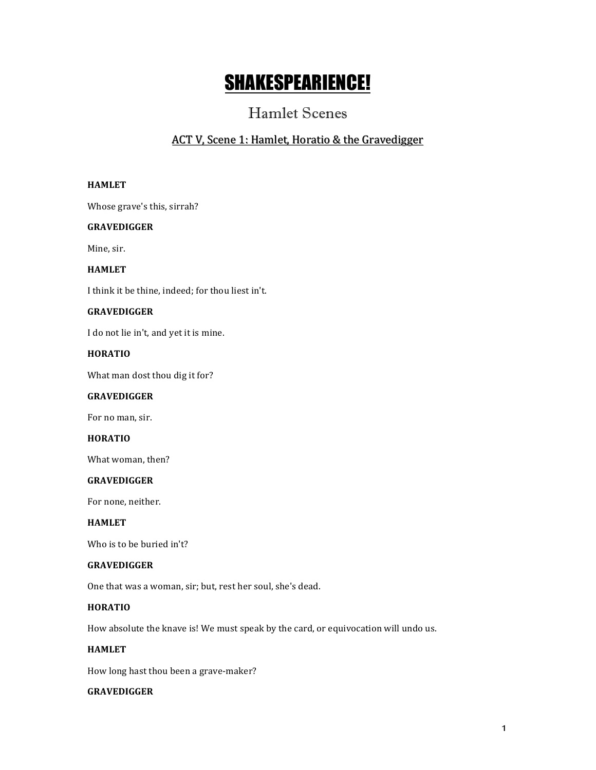# SHAKESPEARIENCE!

# Hamlet Scenes

# ACT V, Scene 1: Hamlet, Horatio & the Gravedigger

### **HAMLET**

Whose grave's this, sirrah?

# **GRAVEDIGGER**

Mine, sir.

# **HAMLET**

I think it be thine, indeed; for thou liest in't.

# **GRAVEDIGGER**

I do not lie in't, and yet it is mine.

# **HORATIO**

What man dost thou dig it for?

### **GRAVEDIGGER**

For no man, sir.

# **HORATIO**

What woman, then?

### **GRAVEDIGGER**

For none, neither.

#### **HAMLET**

Who is to be buried in't?

#### **GRAVEDIGGER**

One that was a woman, sir; but, rest her soul, she's dead.

# **HORATIO**

How absolute the knave is! We must speak by the card, or equivocation will undo us.

### **HAMLET**

How long hast thou been a grave-maker?

# **GRAVEDIGGER**